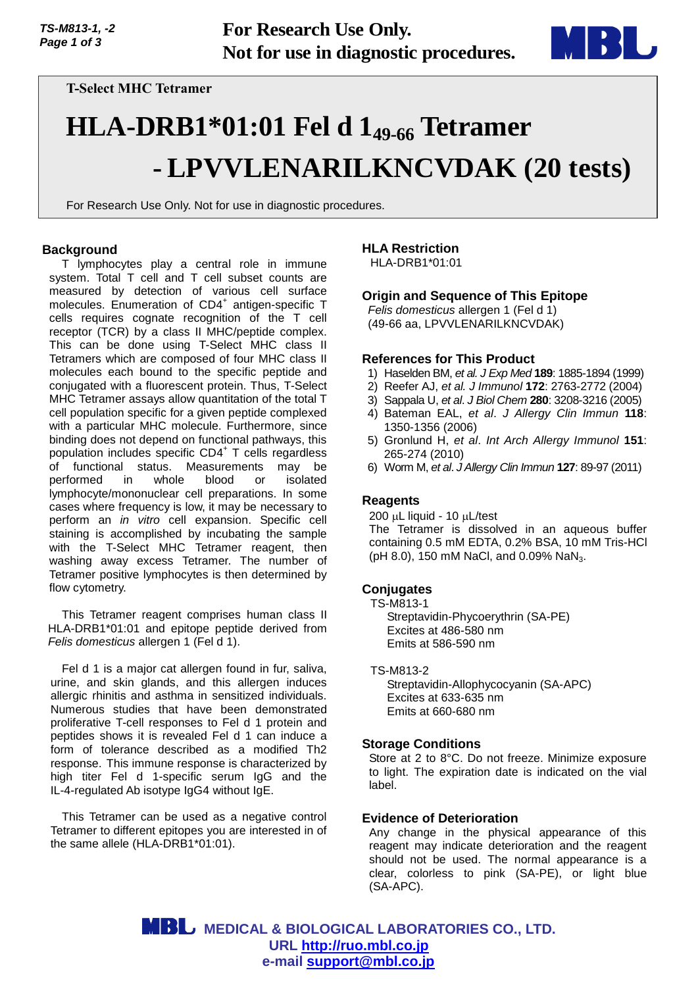

**T-Select MHC Tetramer**

# **HLA-DRB1\*01:01 Fel d 149-66 Tetramer - LPVVLENARILKNCVDAK (20 tests)**

For Research Use Only. Not for use in diagnostic procedures.

# **Background**

T lymphocytes play a central role in immune system. Total T cell and T cell subset counts are measured by detection of various cell surface molecules. Enumeration of CD4<sup>+</sup> antigen-specific T cells requires cognate recognition of the T cell receptor (TCR) by a class II MHC/peptide complex. This can be done using T-Select MHC class II Tetramers which are composed of four MHC class II molecules each bound to the specific peptide and conjugated with a fluorescent protein. Thus, T-Select MHC Tetramer assays allow quantitation of the total T cell population specific for a given peptide complexed with a particular MHC molecule. Furthermore, since binding does not depend on functional pathways, this population includes specific CD4<sup>+</sup> T cells regardless of functional status. Measurements may be performed in whole blood or isolated lymphocyte/mononuclear cell preparations. In some cases where frequency is low, it may be necessary to perform an *in vitro* cell expansion. Specific cell staining is accomplished by incubating the sample with the T-Select MHC Tetramer reagent, then washing away excess Tetramer. The number of Tetramer positive lymphocytes is then determined by flow cytometry.

This Tetramer reagent comprises human class II HLA-DRB1\*01:01 and epitope peptide derived from *Felis domesticus* allergen 1 (Fel d 1).

Fel d 1 is a major cat allergen found in fur, saliva, urine, and skin glands, and this allergen induces allergic rhinitis and asthma in sensitized individuals. Numerous studies that have been demonstrated proliferative T-cell responses to Fel d 1 protein and peptides shows it is revealed Fel d 1 can induce a form of tolerance described as a modified Th2 response. This immune response is characterized by high titer Fel d 1-specific serum IgG and the IL-4-regulated Ab isotype IgG4 without IgE.

This Tetramer can be used as a negative control Tetramer to different epitopes you are interested in of the same allele (HLA-DRB1\*01:01).

# **HLA Restriction**

HLA-DRB1\*01:01

# **Origin and Sequence of This Epitope**

*Felis domesticus* allergen 1 (Fel d 1) (49-66 aa, LPVVLENARILKNCVDAK)

## **References for This Product**

- 1) Haselden BM, *et al. J Exp Med* **189**: 1885-1894 (1999)
- 2) Reefer AJ, *et al. J Immunol* **172**: 2763-2772 (2004)
- 3) Sappala U, *et al*. *J Biol Chem* **280**: 3208-3216 (2005)
- 4) Bateman EAL, *et al*. *J Allergy Clin Immun* **118**: 1350-1356 (2006)
- 5) Gronlund H, *et al*. *Int Arch Allergy Immunol* **151**: 265-274 (2010)
- 6) Worm M, *et al*. *J Allergy Clin Immun* **127**: 89-97 (2011)

## **Reagents**

 $200 \mu L$  liquid - 10  $\mu L$ /test The Tetramer is dissolved in an aqueous buffer containing 0.5 mM EDTA, 0.2% BSA, 10 mM Tris-HCl (pH 8.0), 150 mM NaCl, and 0.09% NaN<sub>3</sub>.

## **Conjugates**

TS-M813-1 Streptavidin-Phycoerythrin (SA-PE) Excites at 486-580 nm Emits at 586-590 nm

TS-M813-2

Streptavidin-Allophycocyanin (SA-APC) Excites at 633-635 nm Emits at 660-680 nm

## **Storage Conditions**

Store at 2 to 8°C. Do not freeze. Minimize exposure to light. The expiration date is indicated on the vial label.

## **Evidence of Deterioration**

Any change in the physical appearance of this reagent may indicate deterioration and the reagent should not be used. The normal appearance is a clear, colorless to pink (SA-PE), or light blue (SA-APC).

 **MEDICAL & BIOLOGICAL LABORATORIES CO., LTD. URL [http://ruo.mbl.co.jp](https://ruo.mbl.co.jp/) e-mail [support@mbl.co.jp](mailto:support@mbl.co.jp)**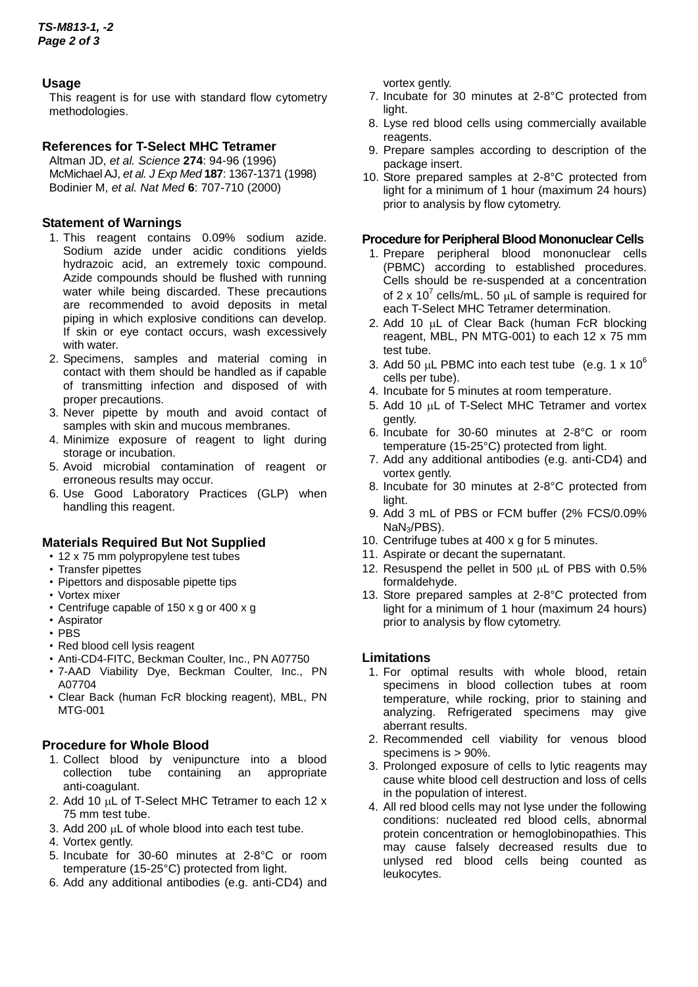# **Usage**

This reagent is for use with standard flow cytometry methodologies.

# **References for T-Select MHC Tetramer**

Altman JD, *et al. Science* **274**: 94-96 (1996) McMichael AJ, *et al. J Exp Med* **187**: 1367-1371 (1998) Bodinier M, *et al. Nat Med* **6**: 707-710 (2000)

# **Statement of Warnings**

- 1. This reagent contains 0.09% sodium azide. Sodium azide under acidic conditions yields hydrazoic acid, an extremely toxic compound. Azide compounds should be flushed with running water while being discarded. These precautions are recommended to avoid deposits in metal piping in which explosive conditions can develop. If skin or eye contact occurs, wash excessively with water.
- 2. Specimens, samples and material coming in contact with them should be handled as if capable of transmitting infection and disposed of with proper precautions.
- 3. Never pipette by mouth and avoid contact of samples with skin and mucous membranes.
- 4. Minimize exposure of reagent to light during storage or incubation.
- 5. Avoid microbial contamination of reagent or erroneous results may occur.
- 6. Use Good Laboratory Practices (GLP) when handling this reagent.

# **Materials Required But Not Supplied**

- 12 x 75 mm polypropylene test tubes
- Transfer pipettes
- Pipettors and disposable pipette tips
- Vortex mixer
- Centrifuge capable of 150 x g or 400 x g
- Aspirator
- PBS
- Red blood cell lysis reagent
- Anti-CD4-FITC, Beckman Coulter, Inc., PN A07750
- 7-AAD Viability Dye, Beckman Coulter, Inc., PN A07704
- Clear Back (human FcR blocking reagent), MBL, PN MTG-001

# **Procedure for Whole Blood**

- 1. Collect blood by venipuncture into a blood collection tube containing an appropriate anti-coagulant.
- 2. Add 10  $\mu$ L of T-Select MHC Tetramer to each 12 x 75 mm test tube.
- 3. Add 200  $\mu$ L of whole blood into each test tube.
- 4. Vortex gently.
- 5. Incubate for 30-60 minutes at 2-8°C or room temperature (15-25°C) protected from light.
- 6. Add any additional antibodies (e.g. anti-CD4) and

vortex gently.

- 7. Incubate for 30 minutes at 2-8°C protected from light.
- 8. Lyse red blood cells using commercially available reagents.
- 9. Prepare samples according to description of the package insert.
- 10. Store prepared samples at 2-8°C protected from light for a minimum of 1 hour (maximum 24 hours) prior to analysis by flow cytometry.

# **Procedure for Peripheral Blood Mononuclear Cells**

- 1. Prepare peripheral blood mononuclear cells (PBMC) according to established procedures. Cells should be re-suspended at a concentration of 2 x 10<sup>7</sup> cells/mL. 50  $\mu$ L of sample is required for each T-Select MHC Tetramer determination.
- 2. Add 10  $\mu$ L of Clear Back (human FcR blocking reagent, MBL, PN MTG-001) to each 12 x 75 mm test tube.
- 3. Add 50  $\mu$ L PBMC into each test tube (e.g. 1 x 10<sup>6</sup>) cells per tube).
- 4. Incubate for 5 minutes at room temperature.
- 5. Add 10 uL of T-Select MHC Tetramer and vortex gently.
- 6. Incubate for 30-60 minutes at 2-8°C or room temperature (15-25°C) protected from light.
- 7. Add any additional antibodies (e.g. anti-CD4) and vortex gently.
- 8. Incubate for 30 minutes at 2-8°C protected from light.
- 9. Add 3 mL of PBS or FCM buffer (2% FCS/0.09% NaN<sub>3</sub>/PBS).
- 10. Centrifuge tubes at 400 x g for 5 minutes.
- 11. Aspirate or decant the supernatant.
- 12. Resuspend the pellet in 500  $\mu$ L of PBS with 0.5% formaldehyde.
- 13. Store prepared samples at 2-8°C protected from light for a minimum of 1 hour (maximum 24 hours) prior to analysis by flow cytometry.

# **Limitations**

- 1. For optimal results with whole blood, retain specimens in blood collection tubes at room temperature, while rocking, prior to staining and analyzing. Refrigerated specimens may give aberrant results.
- 2. Recommended cell viability for venous blood specimens is > 90%.
- 3. Prolonged exposure of cells to lytic reagents may cause white blood cell destruction and loss of cells in the population of interest.
- 4. All red blood cells may not lyse under the following conditions: nucleated red blood cells, abnormal protein concentration or hemoglobinopathies. This may cause falsely decreased results due to unlysed red blood cells being counted as leukocytes.